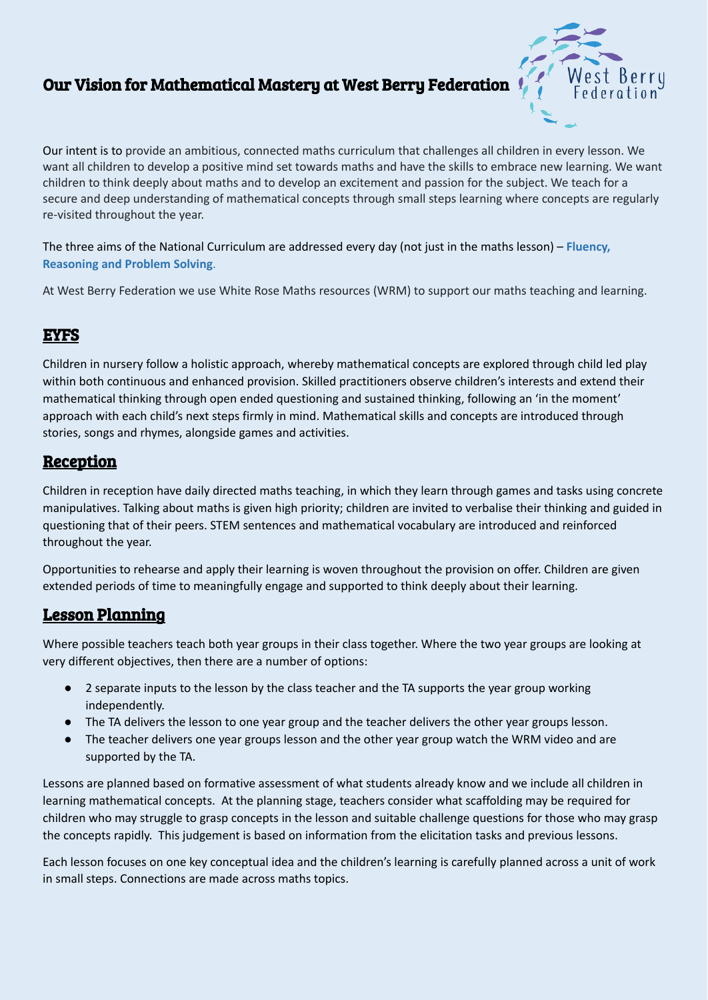# Our Vision for Mathematical Mastery at West Berry Federation



Our intent is to provide an ambitious, connected maths curriculum that challenges all children in every lesson. We want all children to develop a positive mind set towards maths and have the skills to embrace new learning. We want children to think deeply about maths and to develop an excitement and passion for the subject. We teach for a secure and deep understanding of mathematical concepts through small steps learning where concepts are regularly re-visited throughout the year.

The three aims of the National Curriculum are addressed every day (not just in the maths lesson) – **Fluency, Reasoning and Problem Solving**.

At West Berry Federation we use White Rose Maths resources (WRM) to support our maths teaching and learning.

#### EYFS

Children in nursery follow a holistic approach, whereby mathematical concepts are explored through child led play within both continuous and enhanced provision. Skilled practitioners observe children's interests and extend their mathematical thinking through open ended questioning and sustained thinking, following an 'in the moment' approach with each child's next steps firmly in mind. Mathematical skills and concepts are introduced through stories, songs and rhymes, alongside games and activities.

#### **Reception**

Children in reception have daily directed maths teaching, in which they learn through games and tasks using concrete manipulatives. Talking about maths is given high priority; children are invited to verbalise their thinking and guided in questioning that of their peers. STEM sentences and mathematical vocabulary are introduced and reinforced throughout the year.

Opportunities to rehearse and apply their learning is woven throughout the provision on offer. Children are given extended periods of time to meaningfully engage and supported to think deeply about their learning.

## Lesson Planning

Where possible teachers teach both year groups in their class together. Where the two year groups are looking at very different objectives, then there are a number of options:

- 2 separate inputs to the lesson by the class teacher and the TA supports the year group working independently.
- The TA delivers the lesson to one year group and the teacher delivers the other year groups lesson.
- The teacher delivers one year groups lesson and the other year group watch the WRM video and are supported by the TA.

Lessons are planned based on formative assessment of what students already know and we include all children in learning mathematical concepts. At the planning stage, teachers consider what scaffolding may be required for children who may struggle to grasp concepts in the lesson and suitable challenge questions for those who may grasp the concepts rapidly. This judgement is based on information from the elicitation tasks and previous lessons.

Each lesson focuses on one key conceptual idea and the children's learning is carefully planned across a unit of work in small steps. Connections are made across maths topics.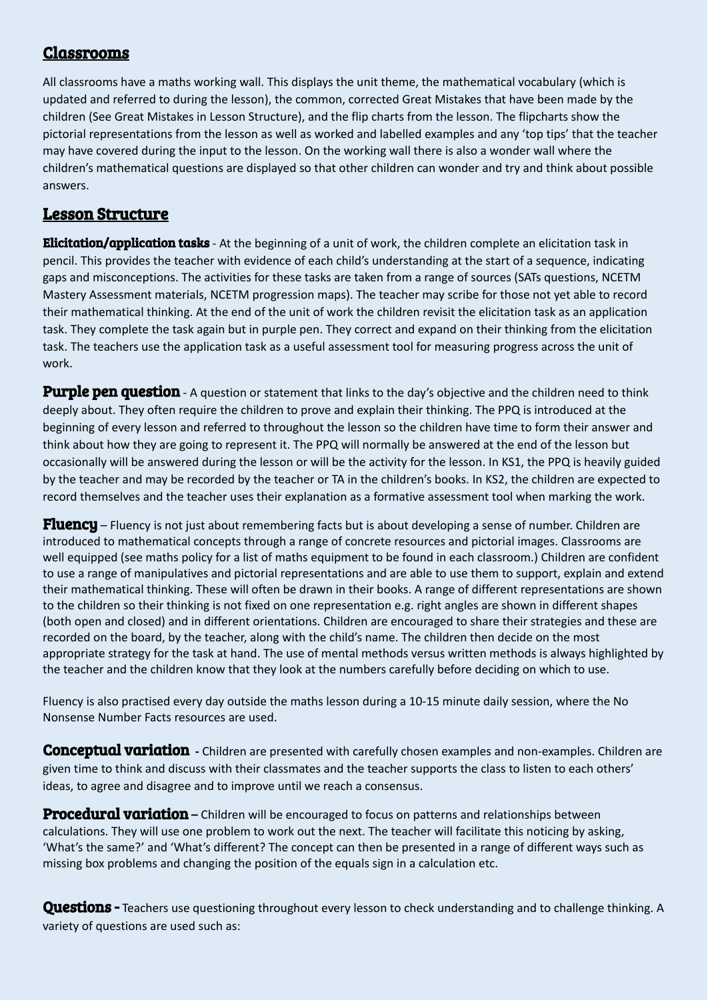## Classrooms

All classrooms have a maths working wall. This displays the unit theme, the mathematical vocabulary (which is updated and referred to during the lesson), the common, corrected Great Mistakes that have been made by the children (See Great Mistakes in Lesson Structure), and the flip charts from the lesson. The flipcharts show the pictorial representations from the lesson as well as worked and labelled examples and any 'top tips' that the teacher may have covered during the input to the lesson. On the working wall there is also a wonder wall where the children's mathematical questions are displayed so that other children can wonder and try and think about possible answers.

# Lesson Structure

**Elicitation/application tasks** - At the beginning of a unit of work, the children complete an elicitation task in pencil. This provides the teacher with evidence of each child's understanding at the start of a sequence, indicating gaps and misconceptions. The activities for these tasks are taken from a range of sources (SATs questions, NCETM Mastery Assessment materials, NCETM progression maps). The teacher may scribe for those not yet able to record their mathematical thinking. At the end of the unit of work the children revisit the elicitation task as an application task. They complete the task again but in purple pen. They correct and expand on their thinking from the elicitation task. The teachers use the application task as a useful assessment tool for measuring progress across the unit of work.

Purple pen question - A question or statement that links to the day's objective and the children need to think deeply about. They often require the children to prove and explain their thinking. The PPQ is introduced at the beginning of every lesson and referred to throughout the lesson so the children have time to form their answer and think about how they are going to represent it. The PPQ will normally be answered at the end of the lesson but occasionally will be answered during the lesson or will be the activity for the lesson. In KS1, the PPQ is heavily guided by the teacher and may be recorded by the teacher or TA in the children's books. In KS2, the children are expected to record themselves and the teacher uses their explanation as a formative assessment tool when marking the work.

**Fluency** – Fluency is not just about remembering facts but is about developing a sense of number. Children are introduced to mathematical concepts through a range of concrete resources and pictorial images. Classrooms are well equipped (see maths policy for a list of maths equipment to be found in each classroom.) Children are confident to use a range of manipulatives and pictorial representations and are able to use them to support, explain and extend their mathematical thinking. These will often be drawn in their books. A range of different representations are shown to the children so their thinking is not fixed on one representation e.g. right angles are shown in different shapes (both open and closed) and in different orientations. Children are encouraged to share their strategies and these are recorded on the board, by the teacher, along with the child's name. The children then decide on the most appropriate strategy for the task at hand. The use of mental methods versus written methods is always highlighted by the teacher and the children know that they look at the numbers carefully before deciding on which to use.

Fluency is also practised every day outside the maths lesson during a 10-15 minute daily session, where the No Nonsense Number Facts resources are used.

Conceptual variation **-** Children are presented with carefully chosen examples and non-examples. Children are given time to think and discuss with their classmates and the teacher supports the class to listen to each others' ideas, to agree and disagree and to improve until we reach a consensus.

Procedural variation - Children will be encouraged to focus on patterns and relationships between calculations. They will use one problem to work out the next. The teacher will facilitate this noticing by asking, 'What's the same?' and 'What's different? The concept can then be presented in a range of different ways such as missing box problems and changing the position of the equals sign in a calculation etc.

Questions - Teachers use questioning throughout every lesson to check understanding and to challenge thinking. A variety of questions are used such as: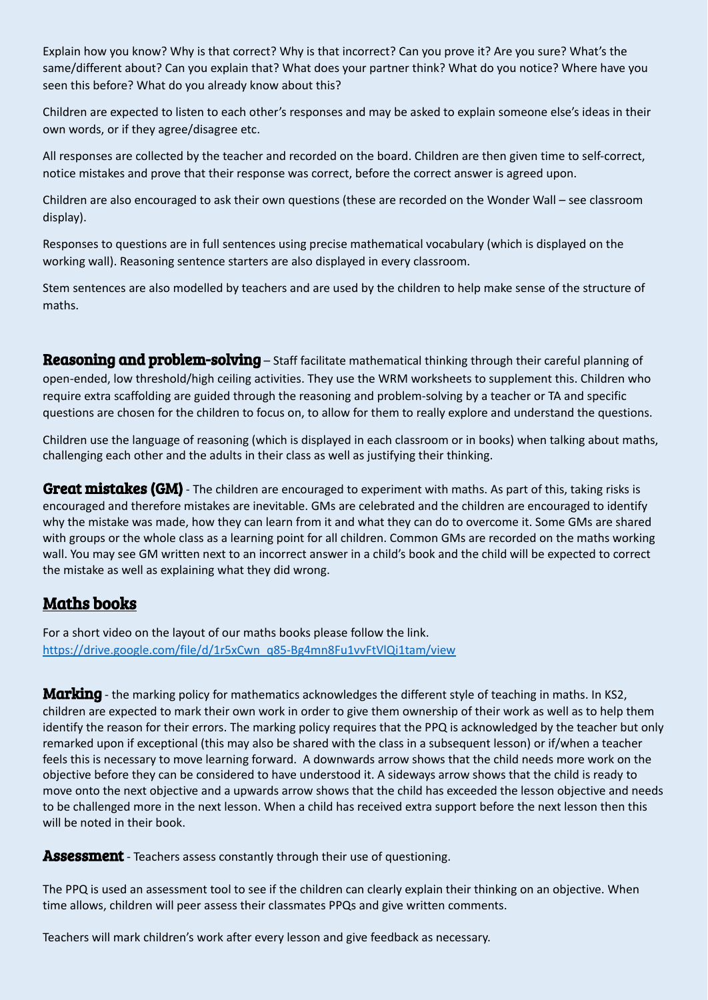Explain how you know? Why is that correct? Why is that incorrect? Can you prove it? Are you sure? What's the same/different about? Can you explain that? What does your partner think? What do you notice? Where have you seen this before? What do you already know about this?

Children are expected to listen to each other's responses and may be asked to explain someone else's ideas in their own words, or if they agree/disagree etc.

All responses are collected by the teacher and recorded on the board. Children are then given time to self-correct, notice mistakes and prove that their response was correct, before the correct answer is agreed upon.

Children are also encouraged to ask their own questions (these are recorded on the Wonder Wall – see classroom display).

Responses to questions are in full sentences using precise mathematical vocabulary (which is displayed on the working wall). Reasoning sentence starters are also displayed in every classroom.

Stem sentences are also modelled by teachers and are used by the children to help make sense of the structure of maths.

Reasoning and problem-solving – Staff facilitate mathematical thinking through their careful planning of open-ended, low threshold/high ceiling activities. They use the WRM worksheets to supplement this. Children who require extra scaffolding are guided through the reasoning and problem-solving by a teacher or TA and specific questions are chosen for the children to focus on, to allow for them to really explore and understand the questions.

Children use the language of reasoning (which is displayed in each classroom or in books) when talking about maths, challenging each other and the adults in their class as well as justifying their thinking.

**Great mistakes (GM)** - The children are encouraged to experiment with maths. As part of this, taking risks is encouraged and therefore mistakes are inevitable. GMs are celebrated and the children are encouraged to identify why the mistake was made, how they can learn from it and what they can do to overcome it. Some GMs are shared with groups or the whole class as a learning point for all children. Common GMs are recorded on the maths working wall. You may see GM written next to an incorrect answer in a child's book and the child will be expected to correct the mistake as well as explaining what they did wrong.

## Maths books

For a short video on the layout of our maths books please follow the link. [https://drive.google.com/file/d/1r5xCwn\\_q85-Bg4mn8Fu1vvFtVlQi1tam/view](https://drive.google.com/file/d/1r5xCwn_q85-Bg4mn8Fu1vvFtVlQi1tam/view)

Marking - the marking policy for mathematics acknowledges the different style of teaching in maths. In KS2, children are expected to mark their own work in order to give them ownership of their work as well as to help them identify the reason for their errors. The marking policy requires that the PPQ is acknowledged by the teacher but only remarked upon if exceptional (this may also be shared with the class in a subsequent lesson) or if/when a teacher feels this is necessary to move learning forward. A downwards arrow shows that the child needs more work on the objective before they can be considered to have understood it. A sideways arrow shows that the child is ready to move onto the next objective and a upwards arrow shows that the child has exceeded the lesson objective and needs to be challenged more in the next lesson. When a child has received extra support before the next lesson then this will be noted in their book.

**Assessment** - Teachers assess constantly through their use of questioning.

The PPQ is used an assessment tool to see if the children can clearly explain their thinking on an objective. When time allows, children will peer assess their classmates PPQs and give written comments.

Teachers will mark children's work after every lesson and give feedback as necessary.